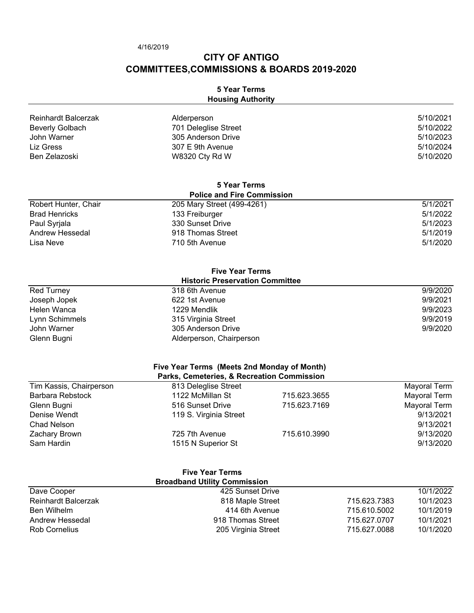4/16/2019

# **CITY OF ANTIGO COMMITTEES,COMMISSIONS & BOARDS 2019-2020**

## **5 Year Terms Housing Authority**

| Reinhardt Balcerzak | Alderperson          | 5/10/2021 |
|---------------------|----------------------|-----------|
| Beverly Golbach     | 701 Deleglise Street | 5/10/2022 |
| John Warner         | 305 Anderson Drive   | 5/10/2023 |
| Liz Gress           | 307 E 9th Avenue     | 5/10/2024 |
| Ben Zelazoski       | W8320 Cty Rd W       | 5/10/2020 |

| 5 Year Terms<br><b>Police and Fire Commission</b> |                   |          |
|---------------------------------------------------|-------------------|----------|
|                                                   |                   |          |
| <b>Brad Henricks</b>                              | 133 Freiburger    | 5/1/2022 |
| Paul Syrjala                                      | 330 Sunset Drive  | 5/1/2023 |
| Andrew Hessedal                                   | 918 Thomas Street | 5/1/2019 |
| Lisa Neve                                         | 710 5th Avenue    | 5/1/2020 |

| <b>Five Year Terms</b> |                                        |          |
|------------------------|----------------------------------------|----------|
|                        | <b>Historic Preservation Committee</b> |          |
| <b>Red Turney</b>      | 318 6th Avenue                         | 9/9/2020 |
| Joseph Jopek           | 622 1st Avenue                         | 9/9/2021 |
| Helen Wanca            | 1229 Mendlik                           | 9/9/2023 |
| Lynn Schimmels         | 315 Virginia Street                    | 9/9/2019 |
| John Warner            | 305 Anderson Drive                     | 9/9/2020 |
| Glenn Bugni            | Alderperson, Chairperson               |          |

| Five Year Terms (Meets 2nd Monday of Month) |  |
|---------------------------------------------|--|
| Parks, Comptories, & Recreation Commission  |  |

| Parks, Cemeteries, & Recreation Commission |                        |              |              |
|--------------------------------------------|------------------------|--------------|--------------|
| Tim Kassis, Chairperson                    | 813 Deleglise Street   |              | Mayoral Term |
| Barbara Rebstock                           | 1122 McMillan St       | 715.623.3655 | Mayoral Term |
| Glenn Bugni                                | 516 Sunset Drive       | 715.623.7169 | Mayoral Term |
| Denise Wendt                               | 119 S. Virginia Street |              | 9/13/2021    |
| Chad Nelson                                |                        |              | 9/13/2021    |
| Zachary Brown                              | 725 7th Avenue         | 715.610.3990 | 9/13/2020    |
| Sam Hardin                                 | 1515 N Superior St     |              | 9/13/2020    |

|                            | <b>Five Year Terms</b>              |              |           |
|----------------------------|-------------------------------------|--------------|-----------|
|                            | <b>Broadband Utility Commission</b> |              |           |
| Dave Cooper                | 425 Sunset Drive                    |              | 10/1/2022 |
| <b>Reinhardt Balcerzak</b> | 818 Maple Street                    | 715.623.7383 | 10/1/2023 |
| Ben Wilhelm                | 414 6th Avenue                      | 715.610.5002 | 10/1/2019 |
| Andrew Hessedal            | 918 Thomas Street                   | 715.627.0707 | 10/1/2021 |
| <b>Rob Cornelius</b>       | 205 Virginia Street                 | 715.627.0088 | 10/1/2020 |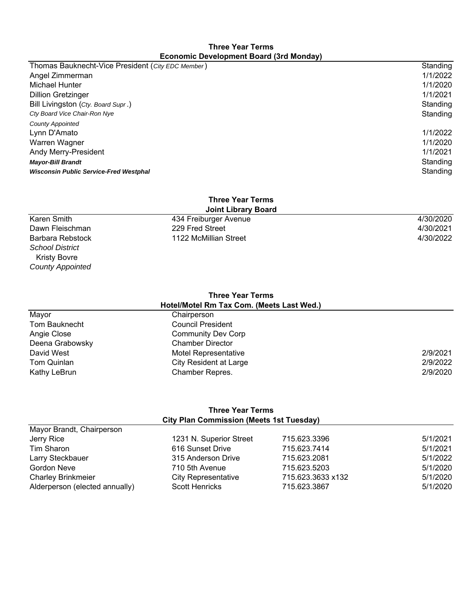#### **Three Year Terms Economic Development Board (3rd Monday)**

| Thomas Bauknecht-Vice President (City EDC Member) | Standing |
|---------------------------------------------------|----------|
| Angel Zimmerman                                   | 1/1/2022 |
| Michael Hunter                                    | 1/1/2020 |
| <b>Dillion Gretzinger</b>                         | 1/1/2021 |
| Bill Livingston (Cty. Board Supr.)                | Standing |
| Cty Board Vice Chair-Ron Nye                      | Standing |
| <b>County Appointed</b>                           |          |
| Lynn D'Amato                                      | 1/1/2022 |
| Warren Wagner                                     | 1/1/2020 |
| Andy Merry-President                              | 1/1/2021 |
| <b>Mayor-Bill Brandt</b>                          | Standing |
| <b>Wisconsin Public Service-Fred Westphal</b>     | Standing |
|                                                   |          |

#### **Joint Library Board Three Year Terms**

| JOINT LIDIARY BOARD    |                       |           |
|------------------------|-----------------------|-----------|
| Karen Smith            | 434 Freiburger Avenue | 4/30/2020 |
| Dawn Fleischman        | 229 Fred Street       | 4/30/2021 |
| Barbara Rebstock       | 1122 McMillian Street | 4/30/2022 |
| <b>School District</b> |                       |           |

## **Three Year Terms Hotel/Motel Rm Tax Com. (Meets Last Wed.)**

 Kristy Bovre *County Appointed*

| 2/9/2021 |
|----------|
| 2/9/2022 |
| 2/9/2020 |
|          |

## **Three Year Terms City Plan Commission (Meets 1st Tuesday)**

| 1231 N. Superior Street    | 715.623.3396      | 5/1/2021 |
|----------------------------|-------------------|----------|
| 616 Sunset Drive           | 715.623.7414      | 5/1/2021 |
| 315 Anderson Drive         | 715.623.2081      | 5/1/2022 |
| 710 5th Avenue             | 715.623.5203      | 5/1/2020 |
| <b>City Representative</b> | 715.623.3633 x132 | 5/1/2020 |
| <b>Scott Henricks</b>      | 715.623.3867      | 5/1/2020 |
|                            |                   |          |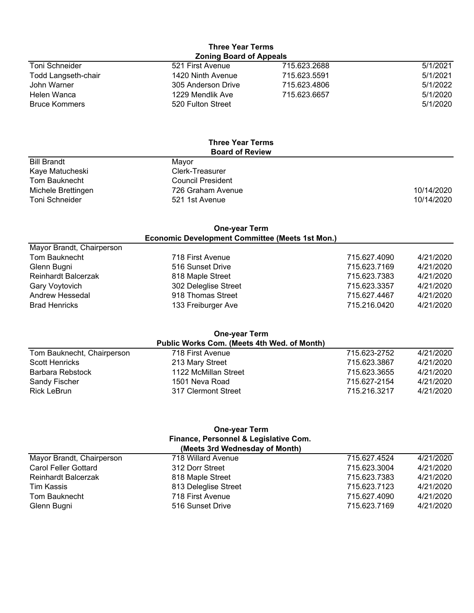#### Toni Schneider 521 First Avenue 715.623.2688 5/1/2021 Todd Langseth-chair 1420 Ninth Avenue **Three Year Terms Zoning Board of Appeals**

| TUUU LaHySCIII-UHAII | 1420 INIIIII AVEHUE | 7 TU.UZU.JUYT | <b>JULICAL</b> |
|----------------------|---------------------|---------------|----------------|
| John Warner          | 305 Anderson Drive  | 715.623.4806  | 5/1/2022       |
| Helen Wanca          | 1229 Mendlik Ave    | 715.623.6657  | 5/1/2020       |
| <b>Bruce Kommers</b> | 520 Fulton Street   |               | 5/1/2020       |
|                      |                     |               |                |

#### **Three Year Terms Board of Review**

| <b>Bill Brandt</b> | Mavor                    |            |
|--------------------|--------------------------|------------|
| Kaye Matucheski    | Clerk-Treasurer          |            |
| Tom Bauknecht      | <b>Council President</b> |            |
| Michele Brettingen | 726 Graham Avenue        | 10/14/2020 |
| Toni Schneider     | 521 1st Avenue           | 10/14/2020 |

## **One-year Term Economic Development Committee (Meets 1st Mon.)**

| 718 First Avenue     | 715.627.4090 | 4/21/2020 |
|----------------------|--------------|-----------|
| 516 Sunset Drive     | 715.623.7169 | 4/21/2020 |
| 818 Maple Street     | 715.623.7383 | 4/21/2020 |
| 302 Deleglise Street | 715.623.3357 | 4/21/2020 |
| 918 Thomas Street    | 715.627.4467 | 4/21/2020 |
| 133 Freiburger Ave   | 715.216.0420 | 4/21/2020 |
|                      |              |           |

## Tom Bauknecht, Chairperson 718 First Avenue 715.623-2752 4/21/2020 Scott Henricks 213 Mary Street 715.623.3867 4/21/2020 Barbara Rebstock 1122 McMillan Street 715.623.3655 4/21/2020 Sandy Fischer 1501 Neva Road 715.627-2154 4/21/2020 Rick LeBrun 317 Clermont Street 715.216.3217 4/21/2020 **One-year Term Public Works Com. (Meets 4th Wed. of Month)**

#### **One-year Term Finance, Personnel & Legislative Com. (Meets 3rd Wednesday of Month)**

|                             | (                    |              |           |
|-----------------------------|----------------------|--------------|-----------|
| Mayor Brandt, Chairperson   | 718 Willard Avenue   | 715.627.4524 | 4/21/2020 |
| <b>Carol Feller Gottard</b> | 312 Dorr Street      | 715.623.3004 | 4/21/2020 |
| Reinhardt Balcerzak         | 818 Maple Street     | 715.623.7383 | 4/21/2020 |
| Tim Kassis                  | 813 Deleglise Street | 715.623.7123 | 4/21/2020 |
| Tom Bauknecht               | 718 First Avenue     | 715.627.4090 | 4/21/2020 |
| Glenn Bugni                 | 516 Sunset Drive     | 715.623.7169 | 4/21/2020 |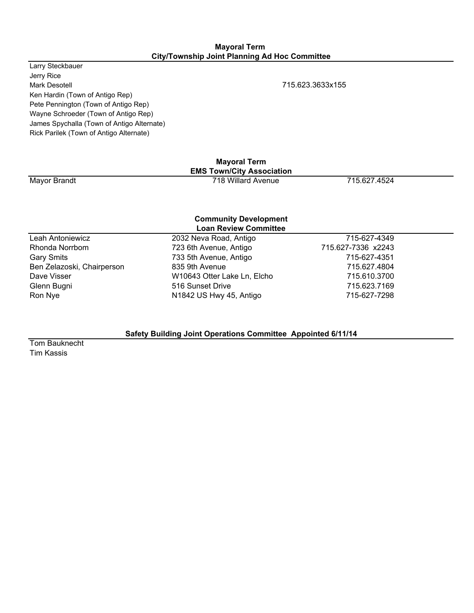#### **Mayoral Term City/Township Joint Planning Ad Hoc Committee**

Larry Steckbauer Jerry Rice Mark Desotell 715.623.3633x155 Ken Hardin (Town of Antigo Rep) Pete Pennington (Town of Antigo Rep) Wayne Schroeder (Town of Antigo Rep) James Spychalla (Town of Antigo Alternate) Rick Parilek (Town of Antigo Alternate)

Mayor Brandt **718 Willard Avenue** 718 Willard Avenue 715.627.4524 **Mayoral Term EMS Town/City Association**

#### **Community Development Loan Review Committee**

| LUGII INGVIGW OUIIIIIIIICG |                             |                    |  |  |
|----------------------------|-----------------------------|--------------------|--|--|
| Leah Antoniewicz           | 2032 Neva Road, Antigo      | 715-627-4349       |  |  |
| Rhonda Norrbom             | 723 6th Avenue, Antigo      | 715.627-7336 x2243 |  |  |
| <b>Gary Smits</b>          | 733 5th Avenue, Antigo      | 715-627-4351       |  |  |
| Ben Zelazoski, Chairperson | 835 9th Avenue              | 715.627.4804       |  |  |
| Dave Visser                | W10643 Otter Lake Ln, Elcho | 715.610.3700       |  |  |
| Glenn Bugni                | 516 Sunset Drive            | 715.623.7169       |  |  |
| Ron Nye                    | N1842 US Hwy 45, Antigo     | 715-627-7298       |  |  |
|                            |                             |                    |  |  |

## **Safety Building Joint Operations Committee Appointed 6/11/14**

Tom Bauknecht Tim Kassis